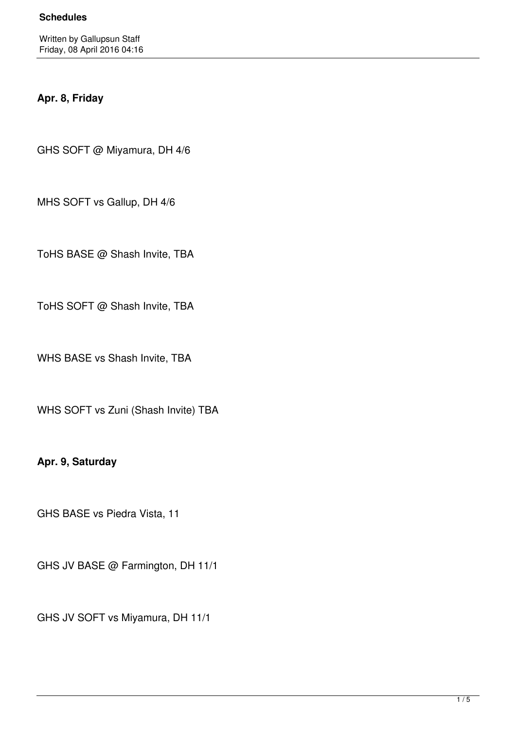# **Apr. 8, Friday**

GHS SOFT @ Miyamura, DH 4/6

MHS SOFT vs Gallup, DH 4/6

ToHS BASE @ Shash Invite, TBA

ToHS SOFT @ Shash Invite, TBA

WHS BASE vs Shash Invite, TBA

WHS SOFT vs Zuni (Shash Invite) TBA

**Apr. 9, Saturday**

GHS BASE vs Piedra Vista, 11

GHS JV BASE @ Farmington, DH 11/1

GHS JV SOFT vs Miyamura, DH 11/1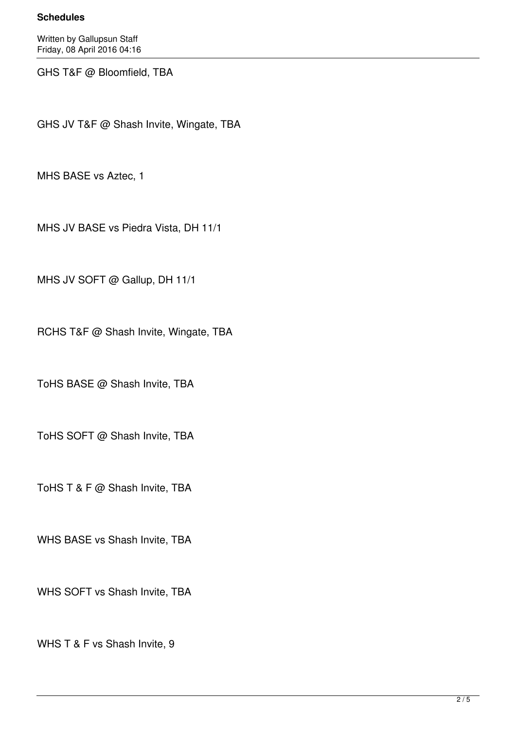#### **Schedules**

Written by Gallupsun Staff Friday, 08 April 2016 04:16

GHS T&F @ Bloomfield, TBA

GHS JV T&F @ Shash Invite, Wingate, TBA

MHS BASE vs Aztec, 1

MHS JV BASE vs Piedra Vista, DH 11/1

MHS JV SOFT @ Gallup, DH 11/1

RCHS T&F @ Shash Invite, Wingate, TBA

ToHS BASE @ Shash Invite, TBA

ToHS SOFT @ Shash Invite, TBA

ToHS T & F @ Shash Invite, TBA

WHS BASE vs Shash Invite, TBA

WHS SOFT vs Shash Invite, TBA

WHS T & F vs Shash Invite, 9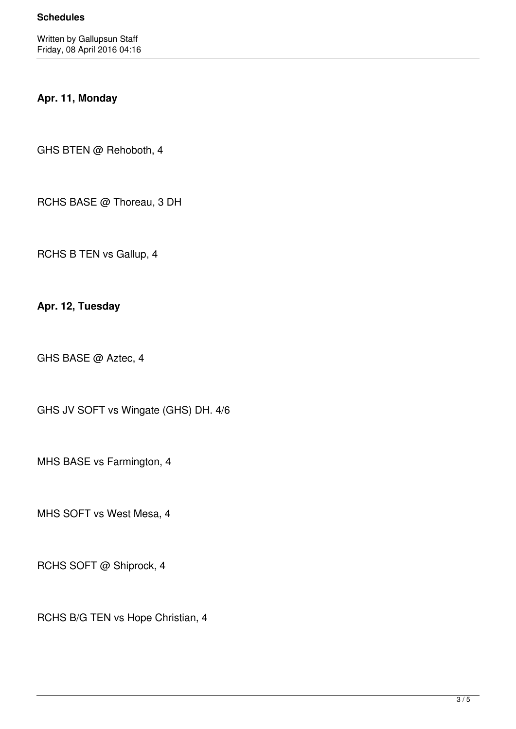# **Apr. 11, Monday**

GHS BTEN @ Rehoboth, 4

RCHS BASE @ Thoreau, 3 DH

RCHS B TEN vs Gallup, 4

**Apr. 12, Tuesday**

GHS BASE @ Aztec, 4

GHS JV SOFT vs Wingate (GHS) DH. 4/6

MHS BASE vs Farmington, 4

MHS SOFT vs West Mesa, 4

RCHS SOFT @ Shiprock, 4

RCHS B/G TEN vs Hope Christian, 4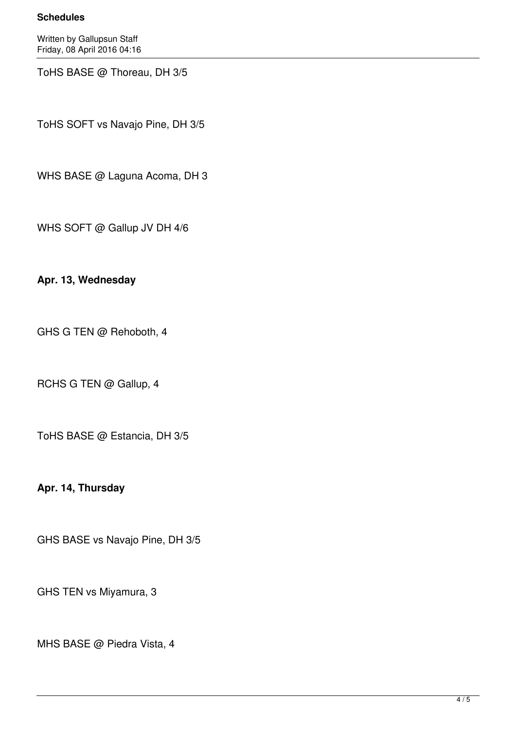#### **Schedules**

Written by Gallupsun Staff Friday, 08 April 2016 04:16

ToHS BASE @ Thoreau, DH 3/5

ToHS SOFT vs Navajo Pine, DH 3/5

WHS BASE @ Laguna Acoma, DH 3

WHS SOFT @ Gallup JV DH 4/6

### **Apr. 13, Wednesday**

GHS G TEN @ Rehoboth, 4

RCHS G TEN @ Gallup, 4

ToHS BASE @ Estancia, DH 3/5

**Apr. 14, Thursday**

GHS BASE vs Navajo Pine, DH 3/5

GHS TEN vs Miyamura, 3

MHS BASE @ Piedra Vista, 4